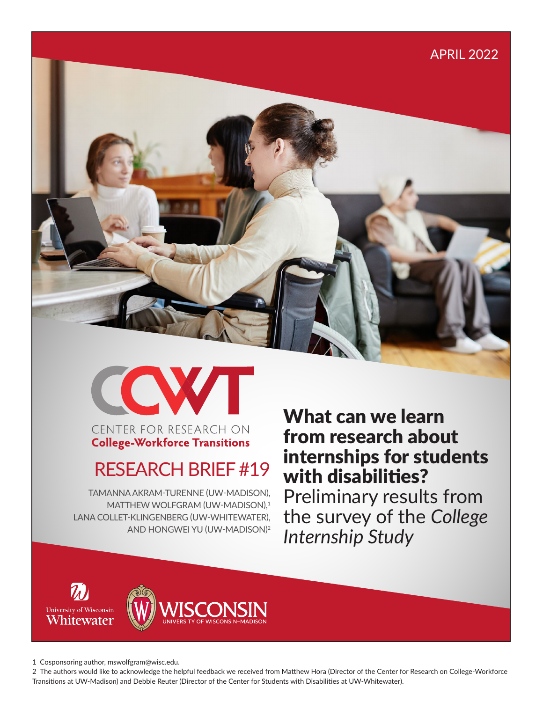# APRIL 2022





CENTER FOR RESEARCH ON **College-Workforce Transitions** 

# RESEARCH BRIEF #19

TAMANNA AKRAM-TURENNE (UW-MADISON), MATTHEW WOLFGRAM (UW-MADISON).<sup>1</sup> LANA COLLET-KLINGENBERG (UW-WHITEWATER), AND HONGWEI YU (UW-MADISON)<sup>2</sup>

What can we learn from research about internships for students with disabilities? Preliminary results from the survey of the *College Internship Study*





1 Cosponsoring author, mswolfgram@wisc.edu.

2 The authors would like to acknowledge the helpful feedback we received from Matthew Hora (Director of the Center for Research on College-Workforce Transitions at UW-Madison) and Debbie Reuter (Director of the Center for Students with Disabilities at UW-Whitewater).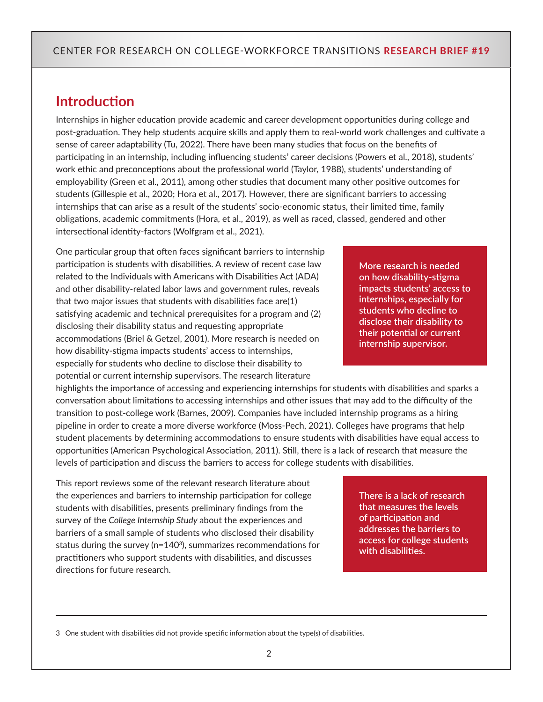### **Introduction**

Internships in higher education provide academic and career development opportunities during college and post-graduation. They help students acquire skills and apply them to real-world work challenges and cultivate a sense of career adaptability (Tu, 2022). There have been many studies that focus on the benefits of participating in an internship, including influencing students' career decisions (Powers et al., 2018), students' work ethic and preconceptions about the professional world (Taylor, 1988), students' understanding of employability (Green et al., 2011), among other studies that document many other positive outcomes for students (Gillespie et al., 2020; Hora et al., 2017). However, there are significant barriers to accessing internships that can arise as a result of the students' socio-economic status, their limited time, family obligations, academic commitments (Hora, et al., 2019), as well as raced, classed, gendered and other intersectional identity-factors (Wolfgram et al., 2021).

One particular group that often faces significant barriers to internship participation is students with disabilities. A review of recent case law related to the Individuals with Americans with Disabilities Act (ADA) and other disability-related labor laws and government rules, reveals that two major issues that students with disabilities face are(1) satisfying academic and technical prerequisites for a program and (2) disclosing their disability status and requesting appropriate accommodations (Briel & Getzel, 2001). More research is needed on how disability-stigma impacts students' access to internships, especially for students who decline to disclose their disability to potential or current internship supervisors. The research literature

highlights the importance of accessing and experiencing internships for students with disabilities and sparks a conversation about limitations to accessing internships and other issues that may add to the difficulty of the transition to post-college work (Barnes, 2009). Companies have included internship programs as a hiring pipeline in order to create a more diverse workforce (Moss-Pech, 2021). Colleges have programs that help student placements by determining accommodations to ensure students with disabilities have equal access to opportunities (American Psychological Association, 2011). Still, there is a lack of research that measure the levels of participation and discuss the barriers to access for college students with disabilities.

This report reviews some of the relevant research literature about the experiences and barriers to internship participation for college students with disabilities, presents preliminary findings from the survey of the *College Internship Study* about the experiences and barriers of a small sample of students who disclosed their disability status during the survey ( $n=140<sup>3</sup>$ ), summarizes recommendations for practitioners who support students with disabilities, and discusses directions for future research.

**There is a lack of research that measures the levels of participation and addresses the barriers to access for college students with disabilities.** 

3 One student with disabilities did not provide specific information about the type(s) of disabilities.

**internships, especially for students who decline to disclose their disability to their potential or current internship supervisor.**

**More research is needed on how disability-stigma impacts students' access to**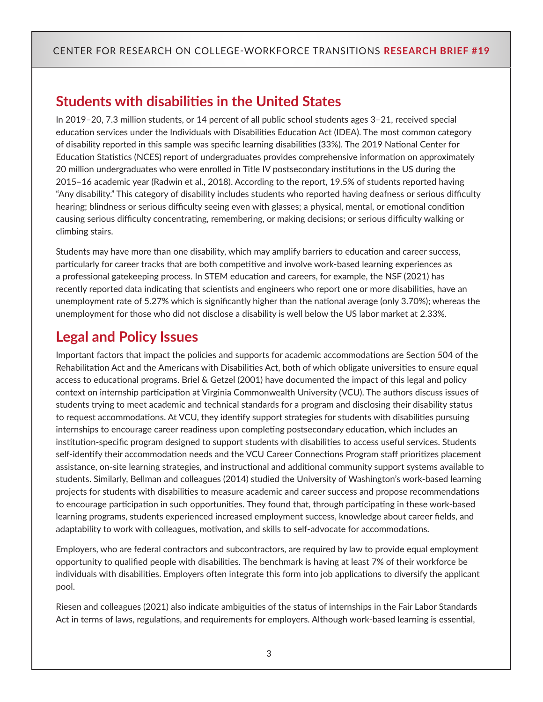# **Students with disabilities in the United States**

In 2019–20, 7.3 million students, or 14 percent of all public school students ages 3–21, received special education services under the Individuals with Disabilities Education Act (IDEA). The most common category of disability reported in this sample was specific learning disabilities (33%). The 2019 National Center for Education Statistics (NCES) report of undergraduates provides comprehensive information on approximately 20 million undergraduates who were enrolled in Title IV postsecondary institutions in the US during the 2015–16 academic year (Radwin et al., 2018). According to the report, 19.5% of students reported having "Any disability." This category of disability includes students who reported having deafness or serious difficulty hearing; blindness or serious difficulty seeing even with glasses; a physical, mental, or emotional condition causing serious difficulty concentrating, remembering, or making decisions; or serious difficulty walking or climbing stairs.

Students may have more than one disability, which may amplify barriers to education and career success, particularly for career tracks that are both competitive and involve work-based learning experiences as a professional gatekeeping process. In STEM education and careers, for example, the NSF (2021) has recently reported data indicating that scientists and engineers who report one or more disabilities, have an unemployment rate of 5.27% which is significantly higher than the national average (only 3.70%); whereas the unemployment for those who did not disclose a disability is well below the US labor market at 2.33%.

# **Legal and Policy Issues**

Important factors that impact the policies and supports for academic accommodations are Section 504 of the Rehabilitation Act and the Americans with Disabilities Act, both of which obligate universities to ensure equal access to educational programs. Briel & Getzel (2001) have documented the impact of this legal and policy context on internship participation at Virginia Commonwealth University (VCU). The authors discuss issues of students trying to meet academic and technical standards for a program and disclosing their disability status to request accommodations. At VCU, they identify support strategies for students with disabilities pursuing internships to encourage career readiness upon completing postsecondary education, which includes an institution-specific program designed to support students with disabilities to access useful services. Students self-identify their accommodation needs and the VCU Career Connections Program staff prioritizes placement assistance, on-site learning strategies, and instructional and additional community support systems available to students. Similarly, Bellman and colleagues (2014) studied the University of Washington's work-based learning projects for students with disabilities to measure academic and career success and propose recommendations to encourage participation in such opportunities. They found that, through participating in these work-based learning programs, students experienced increased employment success, knowledge about career fields, and adaptability to work with colleagues, motivation, and skills to self-advocate for accommodations.

Employers, who are federal contractors and subcontractors, are required by law to provide equal employment opportunity to qualified people with disabilities. The benchmark is having at least 7% of their workforce be individuals with disabilities. Employers often integrate this form into job applications to diversify the applicant pool.

Riesen and colleagues (2021) also indicate ambiguities of the status of internships in the Fair Labor Standards Act in terms of laws, regulations, and requirements for employers. Although work-based learning is essential,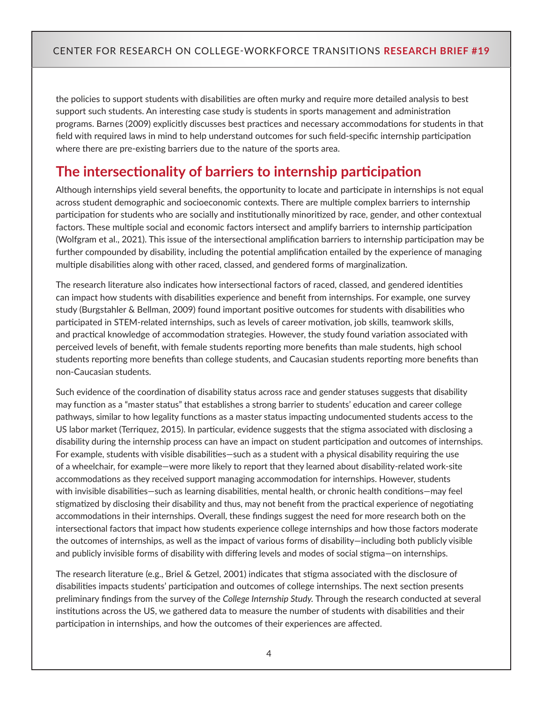the policies to support students with disabilities are often murky and require more detailed analysis to best support such students. An interesting case study is students in sports management and administration programs. Barnes (2009) explicitly discusses best practices and necessary accommodations for students in that field with required laws in mind to help understand outcomes for such field-specific internship participation where there are pre-existing barriers due to the nature of the sports area.

# **The intersectionality of barriers to internship participation**

Although internships yield several benefits, the opportunity to locate and participate in internships is not equal across student demographic and socioeconomic contexts. There are multiple complex barriers to internship participation for students who are socially and institutionally minoritized by race, gender, and other contextual factors. These multiple social and economic factors intersect and amplify barriers to internship participation (Wolfgram et al., 2021). This issue of the intersectional amplification barriers to internship participation may be further compounded by disability, including the potential amplification entailed by the experience of managing multiple disabilities along with other raced, classed, and gendered forms of marginalization.

The research literature also indicates how intersectional factors of raced, classed, and gendered identities can impact how students with disabilities experience and benefit from internships. For example, one survey study (Burgstahler & Bellman, 2009) found important positive outcomes for students with disabilities who participated in STEM-related internships, such as levels of career motivation, job skills, teamwork skills, and practical knowledge of accommodation strategies. However, the study found variation associated with perceived levels of benefit, with female students reporting more benefits than male students, high school students reporting more benefits than college students, and Caucasian students reporting more benefits than non-Caucasian students.

Such evidence of the coordination of disability status across race and gender statuses suggests that disability may function as a "master status" that establishes a strong barrier to students' education and career college pathways, similar to how legality functions as a master status impacting undocumented students access to the US labor market (Terriquez, 2015). In particular, evidence suggests that the stigma associated with disclosing a disability during the internship process can have an impact on student participation and outcomes of internships. For example, students with visible disabilities—such as a student with a physical disability requiring the use of a wheelchair, for example—were more likely to report that they learned about disability-related work-site accommodations as they received support managing accommodation for internships. However, students with invisible disabilities—such as learning disabilities, mental health, or chronic health conditions—may feel stigmatized by disclosing their disability and thus, may not benefit from the practical experience of negotiating accommodations in their internships. Overall, these findings suggest the need for more research both on the intersectional factors that impact how students experience college internships and how those factors moderate the outcomes of internships, as well as the impact of various forms of disability—including both publicly visible and publicly invisible forms of disability with differing levels and modes of social stigma—on internships.

The research literature (e.g., Briel & Getzel, 2001) indicates that stigma associated with the disclosure of disabilities impacts students' participation and outcomes of college internships. The next section presents preliminary findings from the survey of the *College Internship Study.* Through the research conducted at several institutions across the US, we gathered data to measure the number of students with disabilities and their participation in internships, and how the outcomes of their experiences are affected.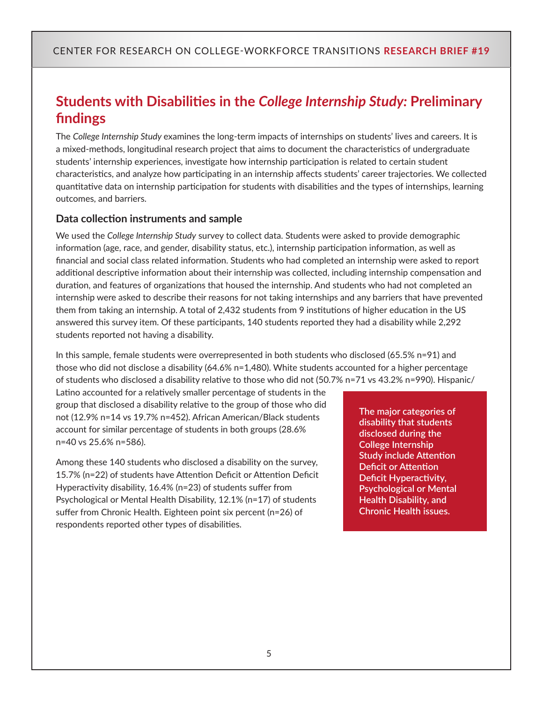# **Students with Disabilities in the** *College Internship Study:* **Preliminary findings**

The *College Internship Study* examines the long-term impacts of internships on students' lives and careers. It is a mixed-methods, longitudinal research project that aims to document the characteristics of undergraduate students' internship experiences, investigate how internship participation is related to certain student characteristics, and analyze how participating in an internship affects students' career trajectories. We collected quantitative data on internship participation for students with disabilities and the types of internships, learning outcomes, and barriers.

### **Data collection instruments and sample**

We used the *College Internship Study* survey to collect data. Students were asked to provide demographic information (age, race, and gender, disability status, etc.), internship participation information, as well as financial and social class related information. Students who had completed an internship were asked to report additional descriptive information about their internship was collected, including internship compensation and duration, and features of organizations that housed the internship. And students who had not completed an internship were asked to describe their reasons for not taking internships and any barriers that have prevented them from taking an internship. A total of 2,432 students from 9 institutions of higher education in the US answered this survey item. Of these participants, 140 students reported they had a disability while 2,292 students reported not having a disability.

In this sample, female students were overrepresented in both students who disclosed (65.5% n=91) and those who did not disclose a disability (64.6% n=1,480). White students accounted for a higher percentage of students who disclosed a disability relative to those who did not (50.7% n=71 vs 43.2% n=990). Hispanic/

Latino accounted for a relatively smaller percentage of students in the group that disclosed a disability relative to the group of those who did not (12.9% n=14 vs 19.7% n=452). African American/Black students account for similar percentage of students in both groups (28.6% n=40 vs 25.6% n=586).

Among these 140 students who disclosed a disability on the survey, 15.7% (n=22) of students have Attention Deficit or Attention Deficit Hyperactivity disability, 16.4% (n=23) of students suffer from Psychological or Mental Health Disability, 12.1% (n=17) of students suffer from Chronic Health. Eighteen point six percent (n=26) of respondents reported other types of disabilities.

**The major categories of disability that students disclosed during the College Internship Study include Attention Deficit or Attention Deficit Hyperactivity, Psychological or Mental Health Disability, and Chronic Health issues.**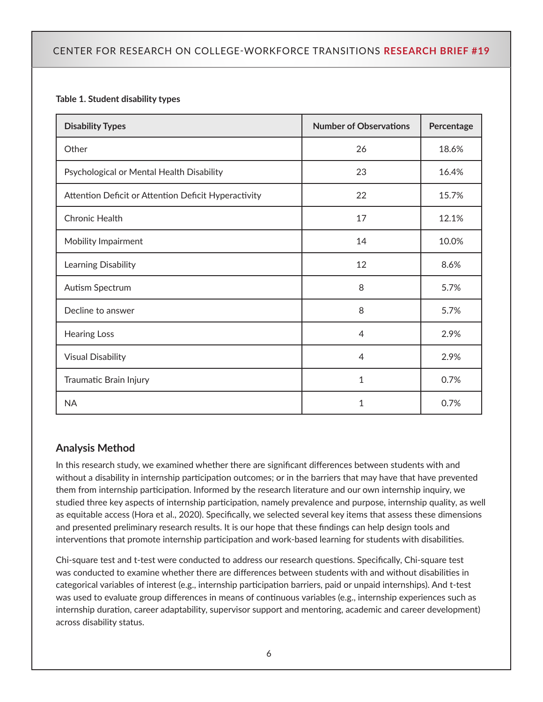#### **Table 1. Student disability types**

| <b>Disability Types</b>                              | <b>Number of Observations</b> | Percentage |
|------------------------------------------------------|-------------------------------|------------|
| Other                                                | 26                            | 18.6%      |
| Psychological or Mental Health Disability            | 23                            | 16.4%      |
| Attention Deficit or Attention Deficit Hyperactivity | 22                            | 15.7%      |
| <b>Chronic Health</b>                                | 17                            | 12.1%      |
| Mobility Impairment                                  | 14                            | 10.0%      |
| Learning Disability                                  | 12                            | 8.6%       |
| Autism Spectrum                                      | 8                             | 5.7%       |
| Decline to answer                                    | 8                             | 5.7%       |
| <b>Hearing Loss</b>                                  | $\overline{4}$                | 2.9%       |
| <b>Visual Disability</b>                             | $\overline{4}$                | 2.9%       |
| Traumatic Brain Injury                               | 1                             | 0.7%       |
| <b>NA</b>                                            | 1                             | 0.7%       |

### **Analysis Method**

In this research study, we examined whether there are significant differences between students with and without a disability in internship participation outcomes; or in the barriers that may have that have prevented them from internship participation. Informed by the research literature and our own internship inquiry, we studied three key aspects of internship participation, namely prevalence and purpose, internship quality, as well as equitable access (Hora et al., 2020). Specifically, we selected several key items that assess these dimensions and presented preliminary research results. It is our hope that these findings can help design tools and interventions that promote internship participation and work-based learning for students with disabilities.

Chi-square test and t-test were conducted to address our research questions. Specifically, Chi-square test was conducted to examine whether there are differences between students with and without disabilities in categorical variables of interest (e.g., internship participation barriers, paid or unpaid internships). And t-test was used to evaluate group differences in means of continuous variables (e.g., internship experiences such as internship duration, career adaptability, supervisor support and mentoring, academic and career development) across disability status.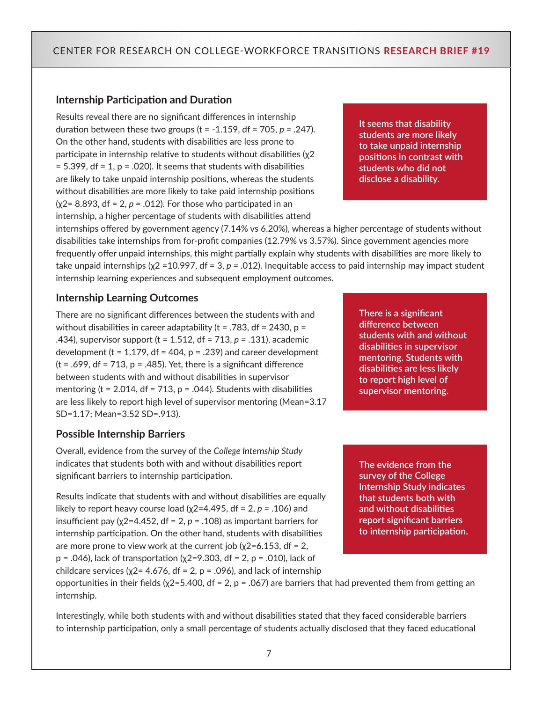#### **Internship Participation and Duration**

Results reveal there are no significant differences in internship duration between these two groups (t = -1.159, df = 705, *p =* .247). On the other hand, students with disabilities are less prone to participate in internship relative to students without disabilities (χ2  $= 5.399$ , df = 1, p = .020). It seems that students with disabilities are likely to take unpaid internship positions, whereas the students without disabilities are more likely to take paid internship positions (χ2= 8.893, df = 2, *p =* .012). For those who participated in an internship, a higher percentage of students with disabilities attend

**It seems that disability students are more likely to take unpaid internship positions in contrast with students who did not disclose a disability.**

internships offered by government agency (7.14% vs 6.20%), whereas a higher percentage of students without disabilities take internships from for-profit companies (12.79% vs 3.57%). Since government agencies more frequently offer unpaid internships, this might partially explain why students with disabilities are more likely to take unpaid internships (χ2 =10.997, df = 3, *p =* .012). Inequitable access to paid internship may impact student internship learning experiences and subsequent employment outcomes.

#### **Internship Learning Outcomes**

There are no significant differences between the students with and without disabilities in career adaptability ( $t = .783$ , df = 2430,  $p =$ .434), supervisor support (t = 1.512, df = 713, *p =* .131), academic development (t =  $1.179$ , df =  $404$ , p =  $.239$ ) and career development  $(t = .699, df = 713, p = .485)$ . Yet, there is a significant difference between students with and without disabilities in supervisor mentoring (t = 2.014, df = 713, p = .044). Students with disabilities are less likely to report high level of supervisor mentoring (Mean=3.17 SD=1.17; Mean=3.52 SD=.913).

#### **Possible Internship Barriers**

Overall, evidence from the survey of the *College Internship Study*  indicates that students both with and without disabilities report significant barriers to internship participation.

Results indicate that students with and without disabilities are equally likely to report heavy course load (χ2=4.495, df = 2, *p =* .106) and insufficient pay (χ2=4.452, df = 2, *p =* .108) as important barriers for internship participation. On the other hand, students with disabilities are more prone to view work at the current job ( $χ$ 2=6.153, df = 2,  $p = .046$ ), lack of transportation ( $χ2=9.303$ , df = 2,  $p = .010$ ), lack of

childcare services ( $\chi$ 2 = 4.676, df = 2, p = .096), and lack of internship

opportunities in their fields ( $χ2=5.400$ , df = 2, p = .067) are barriers that had prevented them from getting an internship.

Interestingly, while both students with and without disabilities stated that they faced considerable barriers to internship participation, only a small percentage of students actually disclosed that they faced educational

**There is a significant difference between students with and without disabilities in supervisor mentoring. Students with disabilities are less likely to report high level of supervisor mentoring.** 

**The evidence from the survey of the College Internship Study indicates that students both with and without disabilities report significant barriers to internship participation.**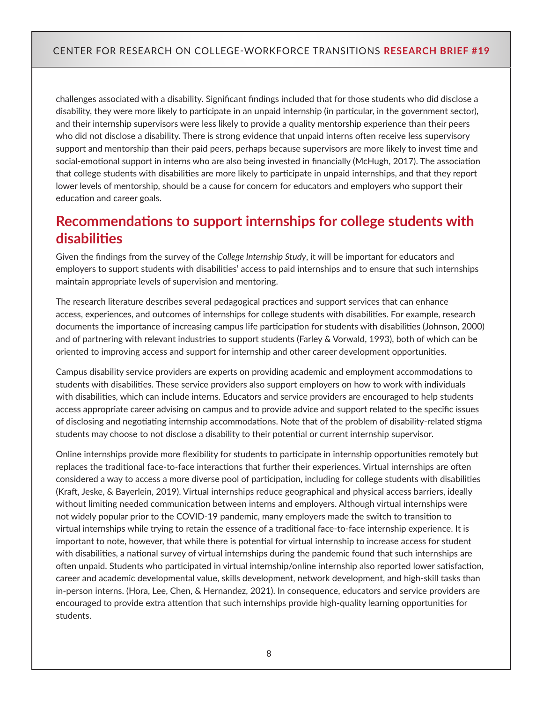challenges associated with a disability. Significant findings included that for those students who did disclose a disability, they were more likely to participate in an unpaid internship (in particular, in the government sector), and their internship supervisors were less likely to provide a quality mentorship experience than their peers who did not disclose a disability. There is strong evidence that unpaid interns often receive less supervisory support and mentorship than their paid peers, perhaps because supervisors are more likely to invest time and social-emotional support in interns who are also being invested in financially (McHugh, 2017). The association that college students with disabilities are more likely to participate in unpaid internships, and that they report lower levels of mentorship, should be a cause for concern for educators and employers who support their education and career goals.

# **Recommendations to support internships for college students with disabilities**

Given the findings from the survey of the *College Internship Study*, it will be important for educators and employers to support students with disabilities' access to paid internships and to ensure that such internships maintain appropriate levels of supervision and mentoring.

The research literature describes several pedagogical practices and support services that can enhance access, experiences, and outcomes of internships for college students with disabilities. For example, research documents the importance of increasing campus life participation for students with disabilities (Johnson, 2000) and of partnering with relevant industries to support students (Farley & Vorwald, 1993), both of which can be oriented to improving access and support for internship and other career development opportunities.

Campus disability service providers are experts on providing academic and employment accommodations to students with disabilities. These service providers also support employers on how to work with individuals with disabilities, which can include interns. Educators and service providers are encouraged to help students access appropriate career advising on campus and to provide advice and support related to the specific issues of disclosing and negotiating internship accommodations. Note that of the problem of disability-related stigma students may choose to not disclose a disability to their potential or current internship supervisor.

Online internships provide more flexibility for students to participate in internship opportunities remotely but replaces the traditional face-to-face interactions that further their experiences. Virtual internships are often considered a way to access a more diverse pool of participation, including for college students with disabilities (Kraft, Jeske, & Bayerlein, 2019). Virtual internships reduce geographical and physical access barriers, ideally without limiting needed communication between interns and employers. Although virtual internships were not widely popular prior to the COVID-19 pandemic, many employers made the switch to transition to virtual internships while trying to retain the essence of a traditional face-to-face internship experience. It is important to note, however, that while there is potential for virtual internship to increase access for student with disabilities, a national survey of virtual internships during the pandemic found that such internships are often unpaid. Students who participated in virtual internship/online internship also reported lower satisfaction, career and academic developmental value, skills development, network development, and high-skill tasks than in-person interns. (Hora, Lee, Chen, & Hernandez, 2021). In consequence, educators and service providers are encouraged to provide extra attention that such internships provide high-quality learning opportunities for students.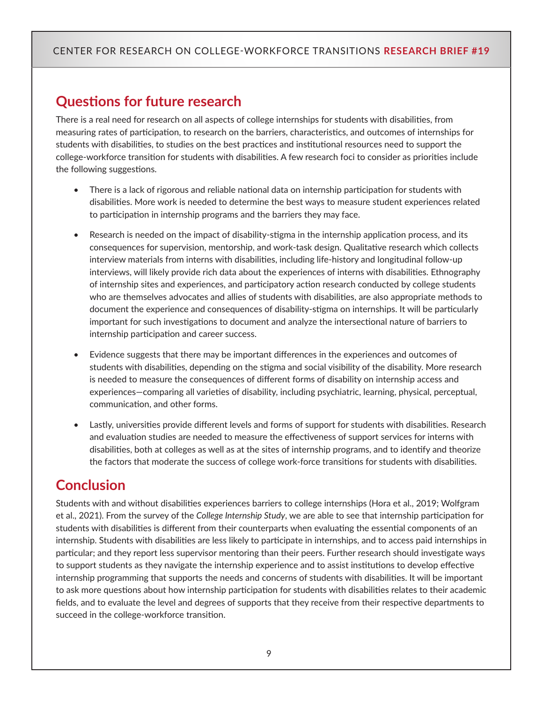# **Questions for future research**

There is a real need for research on all aspects of college internships for students with disabilities, from measuring rates of participation, to research on the barriers, characteristics, and outcomes of internships for students with disabilities, to studies on the best practices and institutional resources need to support the college-workforce transition for students with disabilities. A few research foci to consider as priorities include the following suggestions.

- There is a lack of rigorous and reliable national data on internship participation for students with disabilities. More work is needed to determine the best ways to measure student experiences related to participation in internship programs and the barriers they may face.
- Research is needed on the impact of disability-stigma in the internship application process, and its consequences for supervision, mentorship, and work-task design. Qualitative research which collects interview materials from interns with disabilities, including life-history and longitudinal follow-up interviews, will likely provide rich data about the experiences of interns with disabilities. Ethnography of internship sites and experiences, and participatory action research conducted by college students who are themselves advocates and allies of students with disabilities, are also appropriate methods to document the experience and consequences of disability-stigma on internships. It will be particularly important for such investigations to document and analyze the intersectional nature of barriers to internship participation and career success.
- Evidence suggests that there may be important differences in the experiences and outcomes of students with disabilities, depending on the stigma and social visibility of the disability. More research is needed to measure the consequences of different forms of disability on internship access and experiences—comparing all varieties of disability, including psychiatric, learning, physical, perceptual, communication, and other forms.
- Lastly, universities provide different levels and forms of support for students with disabilities. Research and evaluation studies are needed to measure the effectiveness of support services for interns with disabilities, both at colleges as well as at the sites of internship programs, and to identify and theorize the factors that moderate the success of college work-force transitions for students with disabilities.

# **Conclusion**

Students with and without disabilities experiences barriers to college internships (Hora et al., 2019; Wolfgram et al., 2021). From the survey of the *College Internship Study*, we are able to see that internship participation for students with disabilities is different from their counterparts when evaluating the essential components of an internship. Students with disabilities are less likely to participate in internships, and to access paid internships in particular; and they report less supervisor mentoring than their peers. Further research should investigate ways to support students as they navigate the internship experience and to assist institutions to develop effective internship programming that supports the needs and concerns of students with disabilities. It will be important to ask more questions about how internship participation for students with disabilities relates to their academic fields, and to evaluate the level and degrees of supports that they receive from their respective departments to succeed in the college-workforce transition.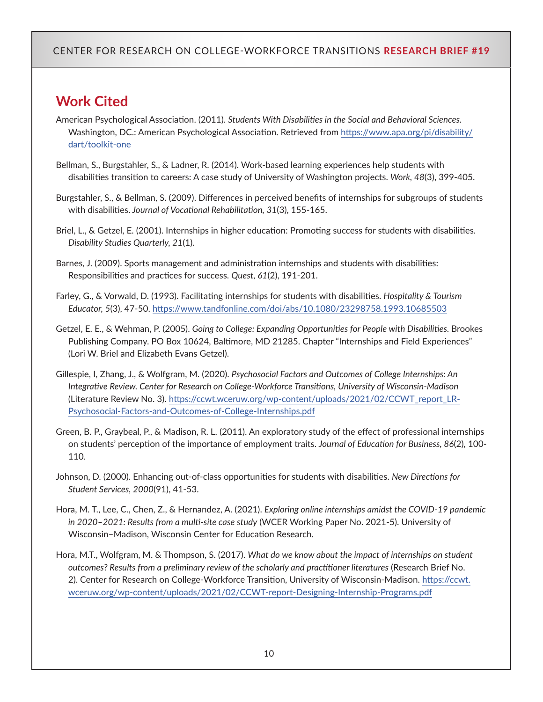# **Work Cited**

- American Psychological Association. (2011). *Students With Disabilities in the Social and Behavioral Sciences.*  Washington, DC.: American Psychological Association. Retrieved from [https://www.apa.org/pi/disability/](https://www.apa.org/pi/disability/dart/toolkit-one) [dart/toolkit-one](https://www.apa.org/pi/disability/dart/toolkit-one)
- Bellman, S., Burgstahler, S., & Ladner, R. (2014). Work-based learning experiences help students with disabilities transition to careers: A case study of University of Washington projects. *Work, 48*(3), 399-405.
- Burgstahler, S., & Bellman, S. (2009). Differences in perceived benefits of internships for subgroups of students with disabilities. *Journal of Vocational Rehabilitation, 31*(3), 155-165.
- Briel, L., & Getzel, E. (2001). Internships in higher education: Promoting success for students with disabilities. *Disability Studies Quarterly, 21*(1).
- Barnes, J. (2009). Sports management and administration internships and students with disabilities: Responsibilities and practices for success. *Quest, 61*(2), 191-201.
- Farley, G., & Vorwald, D. (1993). Facilitating internships for students with disabilities. *Hospitality & Tourism Educator, 5*(3), 47-50.<https://www.tandfonline.com/doi/abs/10.1080/23298758.1993.10685503>
- Getzel, E. E., & Wehman, P. (2005). *Going to College: Expanding Opportunities for People with Disabilities.* Brookes Publishing Company. PO Box 10624, Baltimore, MD 21285. Chapter "Internships and Field Experiences" (Lori W. Briel and Elizabeth Evans Getzel).
- Gillespie, I, Zhang, J., & Wolfgram, M. (2020). *Psychosocial Factors and Outcomes of College Internships: An Integrative Review. Center for Research on College-Workforce Transitions, University of Wisconsin-Madison*  (Literature Review No. 3). [https://ccwt.wceruw.org/wp-content/uploads/2021/02/CCWT\\_report\\_LR-](https://ccwt.wceruw.org/wp-content/uploads/2021/02/CCWT_report_LR-Psychosocial-Factors-and-Outcomes-of-College-Internships.pdf)[Psychosocial-Factors-and-Outcomes-of-College-Internships.pdf](https://ccwt.wceruw.org/wp-content/uploads/2021/02/CCWT_report_LR-Psychosocial-Factors-and-Outcomes-of-College-Internships.pdf)
- Green, B. P., Graybeal, P., & Madison, R. L. (2011). An exploratory study of the effect of professional internships on students' perception of the importance of employment traits. *Journal of Education for Business, 86*(2), 100- 110.
- Johnson, D. (2000). Enhancing out-of-class opportunities for students with disabilities. *New Directions for Student Services, 2000*(91), 41-53.
- Hora, M. T., Lee, C., Chen, Z., & Hernandez, A. (2021). *Exploring online internships amidst the COVID-19 pandemic in 2020–2021: Results from a multi-site case study* (WCER Working Paper No. 2021-5). University of Wisconsin–Madison, Wisconsin Center for Education Research.
- Hora, M.T., Wolfgram, M. & Thompson, S. (2017). *What do we know about the impact of internships on student outcomes? Results from a preliminary review of the scholarly and practitioner literatures* (Research Brief No. 2). Center for Research on College-Workforce Transition, University of Wisconsin-Madison. [https://ccwt.](https://ccwt.wceruw.org/wp-content/uploads/2021/02/CCWT-report-Designing-Internship-Programs.pdf) [wceruw.org/wp-content/uploads/2021/02/CCWT-report-Designing-Internship-Programs.pdf](https://ccwt.wceruw.org/wp-content/uploads/2021/02/CCWT-report-Designing-Internship-Programs.pdf)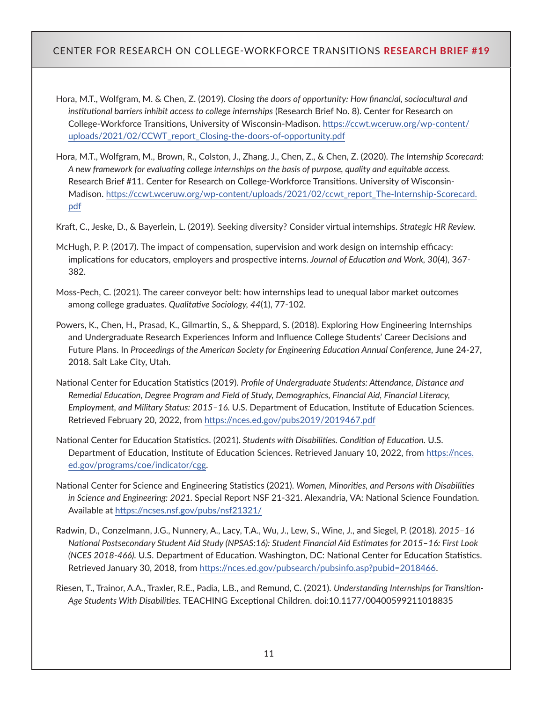- Hora, M.T., Wolfgram, M. & Chen, Z. (2019). *Closing the doors of opportunity: How financial, sociocultural and institutional barriers inhibit access to college internships* (Research Brief No. 8). Center for Research on College-Workforce Transitions, University of Wisconsin-Madison. [https://ccwt.wceruw.org/wp-content/](https://ccwt.wceruw.org/wp-content/uploads/2021/02/CCWT_report_Closing-the-doors-of-opportunity.pdf) [uploads/2021/02/CCWT\\_report\\_Closing-the-doors-of-opportunity.pdf](https://ccwt.wceruw.org/wp-content/uploads/2021/02/CCWT_report_Closing-the-doors-of-opportunity.pdf)
- Hora, M.T., Wolfgram, M., Brown, R., Colston, J., Zhang, J., Chen, Z., & Chen, Z. (2020). *The Internship Scorecard: A new framework for evaluating college internships on the basis of purpose, quality and equitable access.*  Research Brief #11. Center for Research on College-Workforce Transitions. University of Wisconsin-Madison. [https://ccwt.wceruw.org/wp-content/uploads/2021/02/ccwt\\_report\\_The-Internship-Scorecard.](https://ccwt.wceruw.org/wp-content/uploads/2021/02/ccwt_report_The-Internship-Scorecard.pdf) [pdf](https://ccwt.wceruw.org/wp-content/uploads/2021/02/ccwt_report_The-Internship-Scorecard.pdf)

Kraft, C., Jeske, D., & Bayerlein, L. (2019). Seeking diversity? Consider virtual internships. *Strategic HR Review.*

- McHugh, P. P. (2017). The impact of compensation, supervision and work design on internship efficacy: implications for educators, employers and prospective interns. *Journal of Education and Work, 30*(4), 367- 382.
- Moss-Pech, C. (2021). The career conveyor belt: how internships lead to unequal labor market outcomes among college graduates. *Qualitative Sociology, 44*(1), 77-102.
- Powers, K., Chen, H., Prasad, K., Gilmartin, S., & Sheppard, S. (2018). Exploring How Engineering Internships and Undergraduate Research Experiences Inform and Influence College Students' Career Decisions and Future Plans. In Proceedings of the American Society for Engineering Education Annual Conference, June 24-27, 2018. Salt Lake City, Utah.
- National Center for Education Statistics (2019). *Profile of Undergraduate Students: Attendance, Distance and Remedial Education, Degree Program and Field of Study, Demographics, Financial Aid, Financial Literacy, Employment, and Military Status: 2015–16.* U.S. Department of Education, Institute of Education Sciences. Retrieved February 20, 2022, from <https://nces.ed.gov/pubs2019/2019467.pdf>
- National Center for Education Statistics. (2021). *Students with Disabilities. Condition of Education.* U.S. Department of Education, Institute of Education Sciences. Retrieved January 10, 2022, from [https://nces.](https://nces.ed.gov/programs/coe/indicator/cgg) [ed.gov/programs/coe/indicator/cgg](https://nces.ed.gov/programs/coe/indicator/cgg).
- National Center for Science and Engineering Statistics (2021). *Women, Minorities, and Persons with Disabilities in Science and Engineering: 2021.* Special Report NSF 21-321. Alexandria, VA: National Science Foundation. Available at <https://ncses.nsf.gov/pubs/nsf21321/>
- Radwin, D., Conzelmann, J.G., Nunnery, A., Lacy, T.A., Wu, J., Lew, S., Wine, J., and Siegel, P. (2018). *2015–16 National Postsecondary Student Aid Study (NPSAS:16): Student Financial Aid Estimates for 2015–16: First Look (NCES 2018-466).* U.S. Department of Education. Washington, DC: National Center for Education Statistics. Retrieved January 30, 2018, from [https://nces.ed.gov/pubsearch/pubsinfo.asp?pubid=2018466.](https://nces.ed.gov/pubsearch/pubsinfo.asp?pubid=2018466)
- Riesen, T., Trainor, A.A., Traxler, R.E., Padia, L.B., and Remund, C. (2021). *Understanding Internships for Transition-Age Students With Disabilities.* TEACHING Exceptional Children. doi:10.1177/00400599211018835